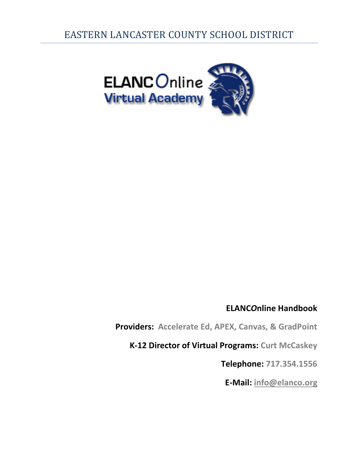# EASTERN LANCASTER COUNTY SCHOOL DISTRICT



# **ELANC***O***nline Handbook**

**Providers: Accelerate Ed, APEX, Canvas, & GradPoint**

**K-12 Director of Virtual Programs: Curt McCaskey**

**Telephone: 717.354.1556**

**E-Mail: [info@elanco.org](mailto:info@elanco.org)**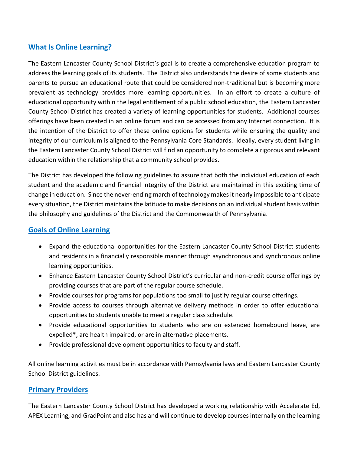# **What Is Online Learning?**

The Eastern Lancaster County School District's goal is to create a comprehensive education program to address the learning goals of its students. The District also understands the desire of some students and parents to pursue an educational route that could be considered non-traditional but is becoming more prevalent as technology provides more learning opportunities. In an effort to create a culture of educational opportunity within the legal entitlement of a public school education, the Eastern Lancaster County School District has created a variety of learning opportunities for students. Additional courses offerings have been created in an online forum and can be accessed from any Internet connection. It is the intention of the District to offer these online options for students while ensuring the quality and integrity of our curriculum is aligned to the Pennsylvania Core Standards. Ideally, every student living in the Eastern Lancaster County School District will find an opportunity to complete a rigorous and relevant education within the relationship that a community school provides.

The District has developed the following guidelines to assure that both the individual education of each student and the academic and financial integrity of the District are maintained in this exciting time of change in education. Since the never-ending march of technology makes it nearly impossible to anticipate every situation, the District maintains the latitude to make decisions on an individual student basis within the philosophy and guidelines of the District and the Commonwealth of Pennsylvania.

# **Goals of Online Learning**

- Expand the educational opportunities for the Eastern Lancaster County School District students and residents in a financially responsible manner through asynchronous and synchronous online learning opportunities.
- Enhance Eastern Lancaster County School District's curricular and non-credit course offerings by providing courses that are part of the regular course schedule.
- Provide courses for programs for populations too small to justify regular course offerings.
- Provide access to courses through alternative delivery methods in order to offer educational opportunities to students unable to meet a regular class schedule.
- Provide educational opportunities to students who are on extended homebound leave, are expelled\*, are health impaired, or are in alternative placements.
- Provide professional development opportunities to faculty and staff.

All online learning activities must be in accordance with Pennsylvania laws and Eastern Lancaster County School District guidelines.

#### **Primary Providers**

The Eastern Lancaster County School District has developed a working relationship with Accelerate Ed, APEX Learning, and GradPoint and also has and will continue to develop courses internally on the learning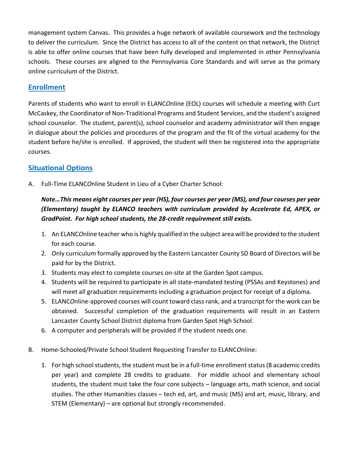management system Canvas. This provides a huge network of available coursework and the technology to deliver the curriculum. Since the District has access to all of the content on that network, the District is able to offer online courses that have been fully developed and implemented in other Pennsylvania schools. These courses are aligned to the Pennsylvania Core Standards and will serve as the primary online curriculum of the District.

#### **Enrollment**

Parents of students who want to enroll in ELANC*O*nline (EOL) courses will schedule a meeting with Curt McCaskey, the Coordinator of Non-Traditional Programs and Student Services, and the student's assigned school counselor. The student, parent(s), school counselor and academy administrator will then engage in dialogue about the policies and procedures of the program and the fit of the virtual academy for the student before he/she is enrolled. If approved, the student will then be registered into the appropriate courses.

# **Situational Options**

A. Full-Time ELANC*O*nline Student in Lieu of a Cyber Charter School:

*Note…This means eight courses per year (HS), four courses per year (MS), and four courses per year (Elementary) taught by ELANCO teachers with curriculum provided by Accelerate Ed, APEX, or GradPoint. For high school students, the 28-credit requirement still exists.*

- 1. An ELANC*O*nline teacher who is highly qualified in the subject area will be provided to the student for each course.
- 2. Only curriculum formally approved by the Eastern Lancaster County SD Board of Directors will be paid for by the District.
- 3. Students may elect to complete courses on-site at the Garden Spot campus.
- 4. Students will be required to participate in all state-mandated testing (PSSAs and Keystones) and will meet all graduation requirements including a graduation project for receipt of a diploma.
- 5. ELANC*O*nline-approved courses will count toward class rank, and a transcript for the work can be obtained. Successful completion of the graduation requirements will result in an Eastern Lancaster County School District diploma from Garden Spot High School.
- 6. A computer and peripherals will be provided if the student needs one.
- B. Home-Schooled/Private School Student Requesting Transfer to ELANC*O*nline:
	- 1. For high school students, the student must be in a full-time enrollment status (8 academic credits per year) and complete 28 credits to graduate. For middle school and elementary school students, the student must take the four core subjects – language arts, math science, and social studies. The other Humanities classes – tech ed, art, and music (MS) and art, music, library, and STEM (Elementary) – are optional but strongly recommended.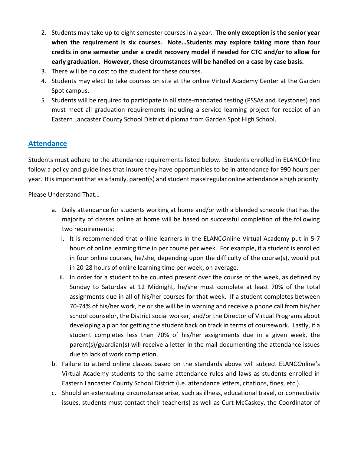- 2. Students may take up to eight semester courses in a year. **The only exception is the senior year when the requirement is six courses. Note…Students may explore taking more than four credits in one semester under a credit recovery model if needed for CTC and/or to allow for early graduation. However, these circumstances will be handled on a case by case basis.**
- 3. There will be no cost to the student for these courses.
- 4. Students may elect to take courses on site at the online Virtual Academy Center at the Garden Spot campus.
- 5. Students will be required to participate in all state-mandated testing (PSSAs and Keystones) and must meet all graduation requirements including a service learning project for receipt of an Eastern Lancaster County School District diploma from Garden Spot High School.

# **Attendance**

Students must adhere to the attendance requirements listed below. Students enrolled in ELANC*O*nline follow a policy and guidelines that insure they have opportunities to be in attendance for 990 hours per year. It is important that as a family, parent(s) and student make regular online attendance a high priority.

Please Understand That…

- a. Daily attendance for students working at home and/or with a blended schedule that has the majority of classes online at home will be based on successful completion of the following two requirements:
	- i. It is recommended that online learners in the ELANC*O*nline Virtual Academy put in 5-7 hours of online learning time in per course per week. For example, if a student is enrolled in four online courses, he/she, depending upon the difficulty of the course(s), would put in 20-28 hours of online learning time per week, on average.
	- ii. In order for a student to be counted present over the course of the week, as defined by Sunday to Saturday at 12 Midnight, he/she must complete at least 70% of the total assignments due in all of his/her courses for that week. If a student completes between 70-74% of his/her work, he or she will be in warning and receive a phone call from his/her school counselor, the District social worker, and/or the Director of Virtual Programs about developing a plan for getting the student back on track in terms of coursework. Lastly, if a student completes less than 70% of his/her assignments due in a given week, the parent(s)/guardian(s) will receive a letter in the mail documenting the attendance issues due to lack of work completion.
- b. Failure to attend online classes based on the standards above will subject ELANC*O*nline's Virtual Academy students to the same attendance rules and laws as students enrolled in Eastern Lancaster County School District (i.e. attendance letters, citations, fines, etc.).
- c. Should an extenuating circumstance arise, such as illness, educational travel, or connectivity issues, students must contact their teacher(s) as well as Curt McCaskey, the Coordinator of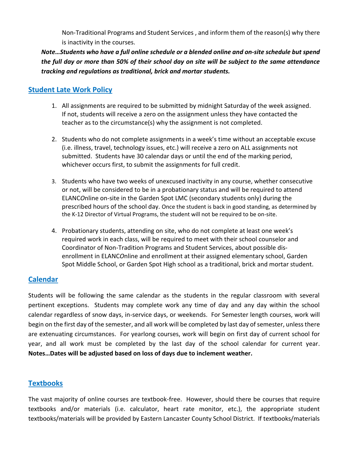Non-Traditional Programs and Student Services , and inform them of the reason(s) why there is inactivity in the courses.

*Note…Students who have a full online schedule or a blended online and on-site schedule but spend the full day or more than 50% of their school day on site will be subject to the same attendance tracking and regulations as traditional, brick and mortar students.*

#### **Student Late Work Policy**

- 1. All assignments are required to be submitted by midnight Saturday of the week assigned. If not, students will receive a zero on the assignment unless they have contacted the teacher as to the circumstance(s) why the assignment is not completed.
- 2. Students who do not complete assignments in a week's time without an acceptable excuse (i.e. illness, travel, technology issues, etc.) will receive a zero on ALL assignments not submitted. Students have 30 calendar days or until the end of the marking period, whichever occurs first, to submit the assignments for full credit.
- 3. Students who have two weeks of unexcused inactivity in any course, whether consecutive or not, will be considered to be in a probationary status and will be required to attend ELANC*O*nline on-site in the Garden Spot LMC (secondary students only) during the prescribed hours of the school day. Once the student is back in good standing, as determined by the K-12 Director of Virtual Programs, the student will not be required to be on-site.
- 4. Probationary students, attending on site, who do not complete at least one week's required work in each class, will be required to meet with their school counselor and Coordinator of Non-Tradition Programs and Student Services, about possible disenrollment in ELANC*O*nline and enrollment at their assigned elementary school, Garden Spot Middle School, or Garden Spot High school as a traditional, brick and mortar student.

# **Calendar**

Students will be following the same calendar as the students in the regular classroom with several pertinent exceptions. Students may complete work any time of day and any day within the school calendar regardless of snow days, in-service days, or weekends. For Semester length courses, work will begin on the first day of the semester, and all work will be completed by last day of semester, unless there are extenuating circumstances. For yearlong courses, work will begin on first day of current school for year, and all work must be completed by the last day of the school calendar for current year. **Notes…Dates will be adjusted based on loss of days due to inclement weather.**

# **Textbooks**

The vast majority of online courses are textbook-free. However, should there be courses that require textbooks and/or materials (i.e. calculator, heart rate monitor, etc.), the appropriate student textbooks/materials will be provided by Eastern Lancaster County School District. If textbooks/materials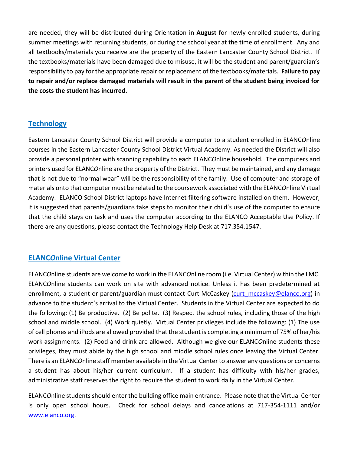are needed, they will be distributed during Orientation in **August** for newly enrolled students, during summer meetings with returning students, or during the school year at the time of enrollment. Any and all textbooks/materials you receive are the property of the Eastern Lancaster County School District. If the textbooks/materials have been damaged due to misuse, it will be the student and parent/guardian's responsibility to pay for the appropriate repair or replacement of the textbooks/materials. **Failure to pay to repair and/or replace damaged materials will result in the parent of the student being invoiced for the costs the student has incurred.** 

#### **Technology**

Eastern Lancaster County School District will provide a computer to a student enrolled in ELANC*O*nline courses in the Eastern Lancaster County School District Virtual Academy. As needed the District will also provide a personal printer with scanning capability to each ELANC*O*nline household. The computers and printers used for ELANC*O*nline are the property of the District. They must be maintained, and any damage that is not due to "normal wear" will be the responsibility of the family. Use of computer and storage of materials onto that computer must be related to the coursework associated with the ELANC*O*nline Virtual Academy. ELANCO School District laptops have Internet filtering software installed on them. However, it is suggested that parents/guardians take steps to monitor their child's use of the computer to ensure that the child stays on task and uses the computer according to the ELANCO Acceptable Use Policy. If there are any questions, please contact the Technology Help Desk at 717.354.1547.

#### **ELANC***O***nline Virtual Center**

ELANC*O*nline students are welcome to work in the ELANC*O*nline room (i.e. Virtual Center) within the LMC. ELANC*O*nline students can work on site with advanced notice. Unless it has been predetermined at enrollment, a student or parent/guardian must contact Curt McCaskey [\(curt\\_mccaskey@elanco.org\)](mailto:curt_mccaskey@elanco.org) in advance to the student's arrival to the Virtual Center. Students in the Virtual Center are expected to do the following: (1) Be productive. (2) Be polite. (3) Respect the school rules, including those of the high school and middle school. (4) Work quietly. Virtual Center privileges include the following: (1) The use of cell phones and iPods are allowed provided that the student is completing a minimum of 75% of her/his work assignments. (2) Food and drink are allowed. Although we give our ELANC*O*nline students these privileges, they must abide by the high school and middle school rules once leaving the Virtual Center. There is an ELANC*O*nline staff member available in the Virtual Center to answer any questions or concerns a student has about his/her current curriculum. If a student has difficulty with his/her grades, administrative staff reserves the right to require the student to work daily in the Virtual Center.

ELANC*O*nline students should enter the building office main entrance. Please note that the Virtual Center is only open school hours. Check for school delays and cancelations at 717-354-1111 and/or [www.elanco.org.](http://www.elanco.org/)